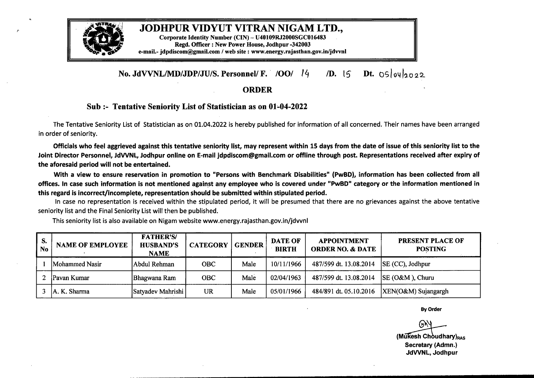

## JODHPUR VIDYUT VITRAN NIGAM LTD.,

Corporate Identity Number (CIN) - U40109RJ2000SGC016483 Regd. Officer : New Power House, Jodhpur -342003 e-mail.- jdpdiscom@gmail.com / web site : www.energy.rajasthan.gov.in/jdvvnl

## **No. JdVVNL/MD/JDP/JU/S. Personnel/ F. /OO/** <sup>14</sup> */D.* 15 Dt. 05/04/2022

## **ORDER**

## **Sub :- Tentative Seniority List of Statistician as on 01-04-2022**

The Tentative Seniority List of Statistician as on 01.04.2022 is hereby published for information of all concerned. Their names have been arranged in order of seniority.

Officials who feel aggrieved against this tentative seniority list, may represent within 15 days from the date of issue of this seniority list to the Joint Director Personnel, JdVVNL, Jodhpur online on E-mail jdpdiscom@gmail.com or offline through post. Representations received after expiry of **the aforesaid period will not be entertained.**

With <sup>a</sup> view to ensure reservation in promotion to "Persons with Benchmark Disabilities" **(PwBD),** information has been collected from all offices. In case such information is not mentioned against any employee who is covered under "PwBD" category or the information mentioned in **this regard is incorrect/incomplete, representation should besubmitted within stipulated period.**

In case no representation is received within the stipulated period, it will be presumed that there are no grievances against the above tentative seniority list and the Final Seniority List will then be published.

This seniority list is also available on Nigam website www.energy.rajasthan.gov.in/jdvvnl

| S.<br><b>No</b> | <b>NAME OF EMPLOYEE</b> | <b>FATHER'S/</b><br><b>HUSBAND'S</b><br><b>NAME</b> | <b>CATEGORY</b> | $ $ GENDER | <b>DATE OF</b><br><b>BIRTH</b> | <b>APPOINTMENT</b><br><b>ORDER NO. &amp; DATE</b> | <b>PRESENT PLACE OF</b><br><b>POSTING</b> |
|-----------------|-------------------------|-----------------------------------------------------|-----------------|------------|--------------------------------|---------------------------------------------------|-------------------------------------------|
|                 | Mohammed Nasir          | Abdul Rehman                                        | <b>OBC</b>      | Male       | 10/11/1966                     | 487/599 dt. 13.08.2014                            | $\left  \text{SE }$ (CC), Jodhpur         |
|                 | Pavan Kumar             | Bhagwana Ram                                        | <b>OBC</b>      | Male       | 02/04/1963                     | 487/599 dt. 13.08.2014                            | $ SE (O\&M)$ , Churu                      |
|                 | A. K. Sharma            | Satyadev Mahrishi                                   | UR              | Male       | 05/01/1966                     | 484/891 dt. 05.10.2016                            | XEN(O&M) Sujangargh                       |

**By Order**

**(O&M)** Sujangargh<br> **(BAM)** Sujangargh<br> **EXPLEMENTED BY ORDER**<br> **(Mukesh Choudhary)**<sub>RAS</sub><br>
Secretary (Admn.)<br>
JdVVNL, Jodhpur **Secretary (Admn.) JdVVNL, Jodhpur**